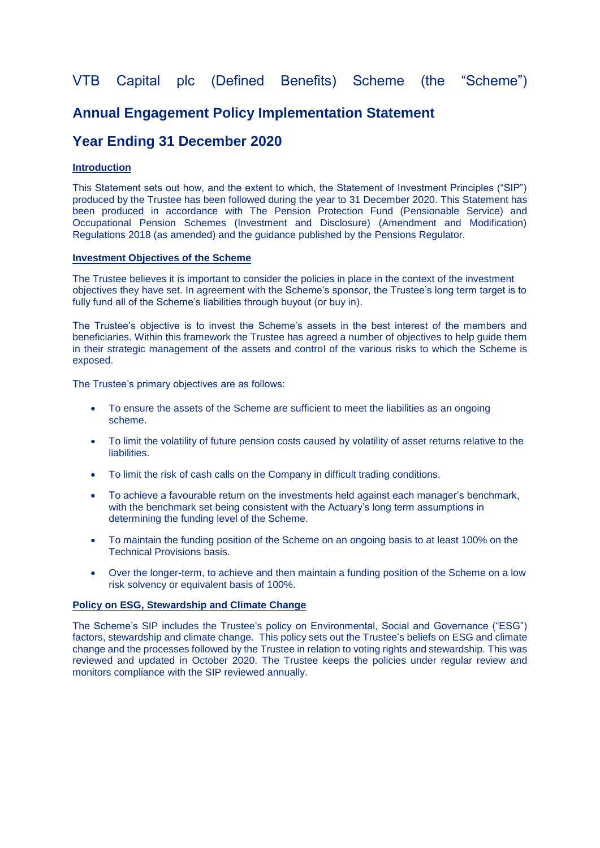# VTB Capital plc (Defined Benefits) Scheme (the "Scheme")

# **Annual Engagement Policy Implementation Statement**

# **Year Ending 31 December 2020**

## **Introduction**

This Statement sets out how, and the extent to which, the Statement of Investment Principles ("SIP") produced by the Trustee has been followed during the year to 31 December 2020. This Statement has been produced in accordance with The Pension Protection Fund (Pensionable Service) and Occupational Pension Schemes (Investment and Disclosure) (Amendment and Modification) Regulations 2018 (as amended) and the guidance published by the Pensions Regulator.

#### **Investment Objectives of the Scheme**

The Trustee believes it is important to consider the policies in place in the context of the investment objectives they have set. In agreement with the Scheme's sponsor, the Trustee's long term target is to fully fund all of the Scheme's liabilities through buyout (or buy in).

The Trustee's objective is to invest the Scheme's assets in the best interest of the members and beneficiaries. Within this framework the Trustee has agreed a number of objectives to help guide them in their strategic management of the assets and control of the various risks to which the Scheme is exposed.

The Trustee's primary objectives are as follows:

- To ensure the assets of the Scheme are sufficient to meet the liabilities as an ongoing scheme.
- To limit the volatility of future pension costs caused by volatility of asset returns relative to the liabilities.
- To limit the risk of cash calls on the Company in difficult trading conditions.
- To achieve a favourable return on the investments held against each manager's benchmark, with the benchmark set being consistent with the Actuary's long term assumptions in determining the funding level of the Scheme.
- To maintain the funding position of the Scheme on an ongoing basis to at least 100% on the Technical Provisions basis.
- Over the longer-term, to achieve and then maintain a funding position of the Scheme on a low risk solvency or equivalent basis of 100%.

### **Policy on ESG, Stewardship and Climate Change**

The Scheme's SIP includes the Trustee's policy on Environmental, Social and Governance ("ESG") factors, stewardship and climate change. This policy sets out the Trustee's beliefs on ESG and climate change and the processes followed by the Trustee in relation to voting rights and stewardship. This was reviewed and updated in October 2020. The Trustee keeps the policies under regular review and monitors compliance with the SIP reviewed annually.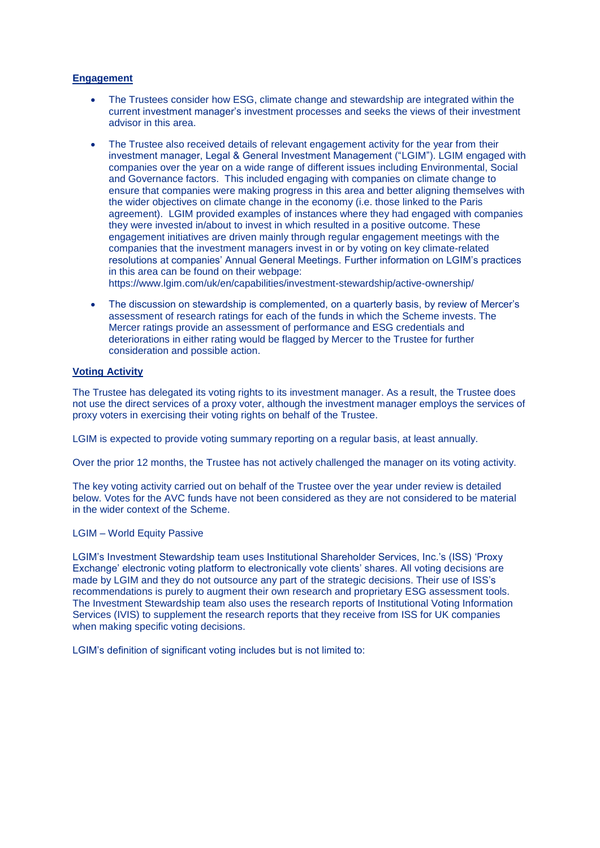## **Engagement**

- The Trustees consider how ESG, climate change and stewardship are integrated within the current investment manager's investment processes and seeks the views of their investment advisor in this area.
- The Trustee also received details of relevant engagement activity for the year from their investment manager, Legal & General Investment Management ("LGIM"). LGIM engaged with companies over the year on a wide range of different issues including Environmental, Social and Governance factors. This included engaging with companies on climate change to ensure that companies were making progress in this area and better aligning themselves with the wider objectives on climate change in the economy (i.e. those linked to the Paris agreement). LGIM provided examples of instances where they had engaged with companies they were invested in/about to invest in which resulted in a positive outcome. These engagement initiatives are driven mainly through regular engagement meetings with the companies that the investment managers invest in or by voting on key climate-related resolutions at companies' Annual General Meetings. Further information on LGIM's practices in this area can be found on their webpage:

https://www.lgim.com/uk/en/capabilities/investment-stewardship/active-ownership/

 The discussion on stewardship is complemented, on a quarterly basis, by review of Mercer's assessment of research ratings for each of the funds in which the Scheme invests. The Mercer ratings provide an assessment of performance and ESG credentials and deteriorations in either rating would be flagged by Mercer to the Trustee for further consideration and possible action.

### **Voting Activity**

The Trustee has delegated its voting rights to its investment manager. As a result, the Trustee does not use the direct services of a proxy voter, although the investment manager employs the services of proxy voters in exercising their voting rights on behalf of the Trustee.

LGIM is expected to provide voting summary reporting on a regular basis, at least annually.

Over the prior 12 months, the Trustee has not actively challenged the manager on its voting activity.

The key voting activity carried out on behalf of the Trustee over the year under review is detailed below. Votes for the AVC funds have not been considered as they are not considered to be material in the wider context of the Scheme.

### LGIM – World Equity Passive

LGIM's Investment Stewardship team uses Institutional Shareholder Services, Inc.'s (ISS) 'Proxy Exchange' electronic voting platform to electronically vote clients' shares. All voting decisions are made by LGIM and they do not outsource any part of the strategic decisions. Their use of ISS's recommendations is purely to augment their own research and proprietary ESG assessment tools. The Investment Stewardship team also uses the research reports of Institutional Voting Information Services (IVIS) to supplement the research reports that they receive from ISS for UK companies when making specific voting decisions.

LGIM's definition of significant voting includes but is not limited to: